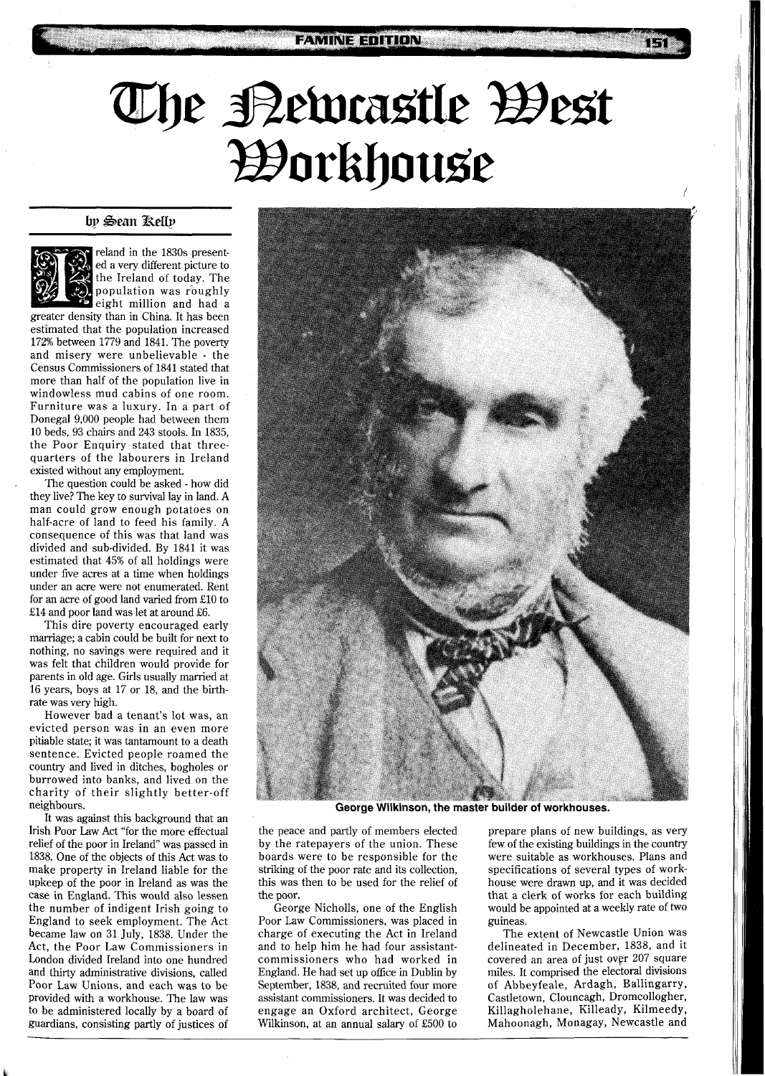## **The Bewastle Best<br>Borkhouse**

## by Sean Relly



reland in the 1830s presented a very different picture to the Ireland of today. The population was roughly eight million and had a

greater density than in China. It has been estimated that the population increased 172% between 1779 and 1841. The poverty and misery were unbelievable - the Census Commissioners of 1841 stated that more than half of the population live in windowless mud cabins of one room. Furniture was a luxury. In a part of Donegal 9,000 people had between them 10 beds, 93 chairs and 243 stools. In 1835, the Poor Enquiry stated that threequarters of the labourers in Ireland existed without any employment.

. The question could be asked - how did they live? The key to survival lay in land. A man could grow enough potatoes on half-acre of land to feed his family. A consequence of this was that land was divided and sub-divided. By 1841 it was estimated that 45% of all holdings were under five acres at a time when holdings under an acre were not enumerated. Rent for an acre of good land varied from E10 to E14 and poor land was let at around £6.

This dire poverty encouraged early marriage; a cabin could be built for next to nothing, no savings were required and it was felt that children would provide for parents in old age. Girls usually married at 16 years, boys at 17 or 18, and the birthrate was very high.

However bad a tenant's lot was, an evicted person was in an even more pitiable state; it was tantamount to a death sentence. Evicted people roamed the country and lived in ditches, bogholes or burrowed into banks, and lived on the charity of their slightly better-off neighbours.

It was against this background that an Irish Poor Law Act "for the more effectual relief of the poor in Ireland" was passed in 1838. One of the objects of this Act was to make property in Ireland liable for the upkeep of the poor in Ireland as was the case in England. This would also lessen the number of indigent Irish going to England to seek employment. The Act became law on 31 July, 1838. Under the Act, the Poor Law Commissioners in London divided Ireland into one hundred and thirty administrative divisions, called Poor Law Unions, and each was to be provided with a workhouse. The law was to be administered locally by a board of guardians, consisting partly of justices of



**George Wilkinson, the master builder of workhouses.** 

the peace and partly of members elected by the ratepayers of the union. These boards were to be responsible for the striking of the poor rate and its collection, this was then to be used for the relief of the poor.

George Nicholls, one of the English Poor Law Commissioners, was placed in charge of executing the Act in Ireland and to help him he had four assistantcommissioners who had worked in England. He had set up office in Dublin by September, 1838, and recruited four more assistant commissioners. It was decided to engage an Oxford architect, George Wilkinson, at an annual salary of E500 to

prepare plans of new buildings, as very few of the existing buildings in the country were suitable as workhouses. Plans and specifications of several types of workhouse were drawn up, and it was decided that a clerk of works for each building would be appointed at a weekly rate of two guineas.

The extent of Newcastle Union was delineated in December, 1838, and it covered an area of just over 207 square miles. It comprised the electoral divisions of Abbeyfeale, Ardagh, Ballingarry, Castletown, Clouncagh, Dromcollogher, Killagholehane, Killeady, Kilmeedy, Mahoonagh, Monagay, Newcastle and